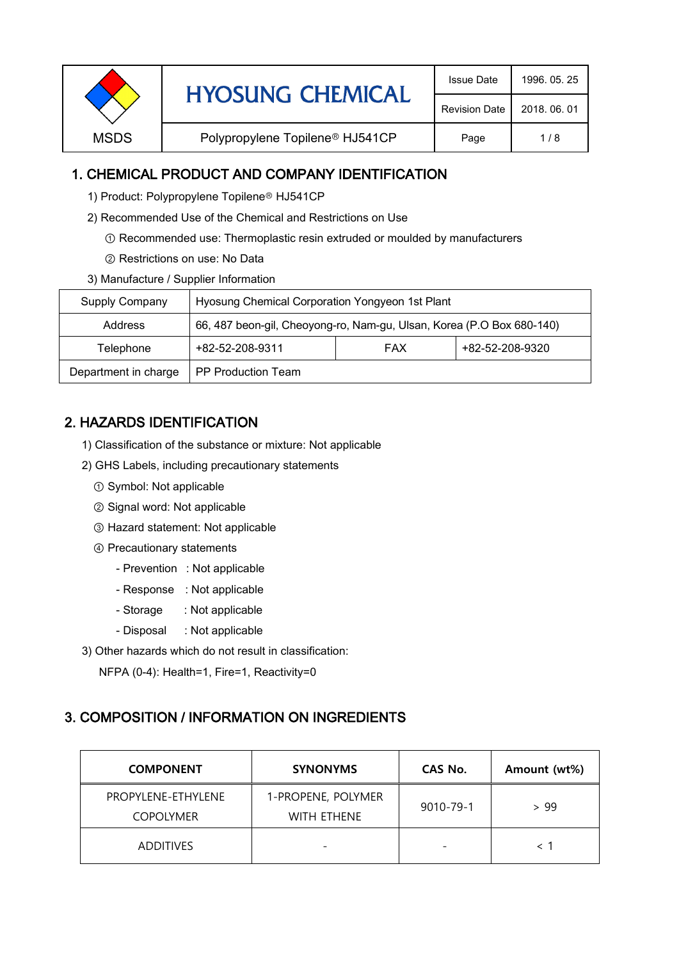| <b>Revision Date</b><br>2018, 06, 01<br>Polypropylene Topilene <sup>®</sup> HJ541CP<br><b>MSDS</b><br>1/8<br>Page |  | <b>HYOSUNG CHEMICAL</b> | <b>Issue Date</b> | 1996, 05, 25 |
|-------------------------------------------------------------------------------------------------------------------|--|-------------------------|-------------------|--------------|
|                                                                                                                   |  |                         |                   |              |
|                                                                                                                   |  |                         |                   |              |

## 1. CHEMICAL PRODUCT AND COMPANY IDENTIFICATION

- 1) Product: Polypropylene Topilene<sup>®</sup> HJ541CP
- 2) Recommended Use of the Chemical and Restrictions on Use
	- ① Recommended use: Thermoplastic resin extruded or moulded by manufacturers
	- ② Restrictions on use: No Data
- 3) Manufacture / Supplier Information

| Supply Company       | Hyosung Chemical Corporation Yongyeon 1st Plant                       |            |                 |  |
|----------------------|-----------------------------------------------------------------------|------------|-----------------|--|
| Address              | 66, 487 beon-gil, Cheoyong-ro, Nam-gu, Ulsan, Korea (P.O Box 680-140) |            |                 |  |
| Telephone            | +82-52-208-9311                                                       | <b>FAX</b> | +82-52-208-9320 |  |
| Department in charge | <b>PP Production Team</b>                                             |            |                 |  |

## 2. HAZARDS IDENTIFICATION

- 1) Classification of the substance or mixture: Not applicable
- 2) GHS Labels, including precautionary statements
	- ① Symbol: Not applicable
	- ② Signal word: Not applicable
	- ③ Hazard statement: Not applicable
	- ④ Precautionary statements
		- Prevention : Not applicable
		- Response : Not applicable
		- Storage : Not applicable
		- Disposal : Not applicable
- 3) Other hazards which do not result in classification:

NFPA (0-4): Health=1, Fire=1, Reactivity=0

#### 3. COMPOSITION / INFORMATION ON INGREDIENTS

| <b>COMPONENT</b>                       | <b>SYNONYMS</b>                   | CAS No.   | Amount (wt%) |
|----------------------------------------|-----------------------------------|-----------|--------------|
| PROPYLENE-ETHYLENE<br><b>COPOLYMER</b> | 1-PROPENE, POLYMER<br>WITH ETHENE | 9010-79-1 | > 99         |
| <b>ADDITIVES</b>                       |                                   |           |              |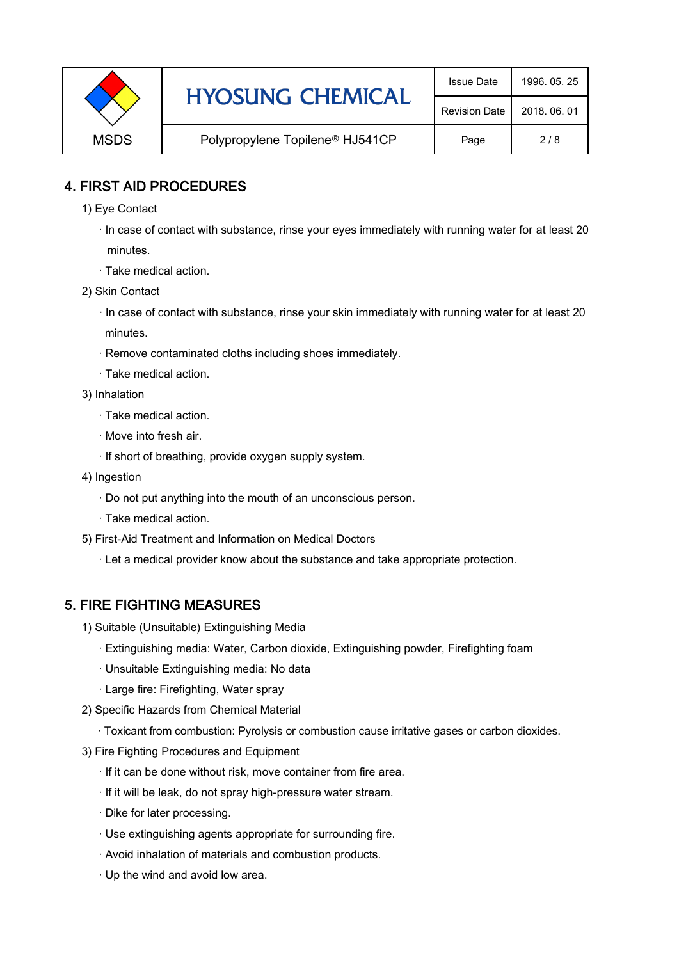|             | <b>HYOSUNG CHEMICAL</b>                     | <b>Issue Date</b>    | 1996, 05, 25 |
|-------------|---------------------------------------------|----------------------|--------------|
|             |                                             | <b>Revision Date</b> | 2018, 06, 01 |
| <b>MSDS</b> | Polypropylene Topilene <sup>®</sup> HJ541CP | Page                 | 2/8          |

#### 4. FIRST AID PROCEDURES

- 1) Eye Contact
	- · In case of contact with substance, rinse your eyes immediately with running water for at least 20 minutes.
	- · Take medical action.
- 2) Skin Contact
	- · In case of contact with substance, rinse your skin immediately with running water for at least 20 minutes.
	- · Remove contaminated cloths including shoes immediately.
	- · Take medical action.
- 3) Inhalation
	- · Take medical action.
	- · Move into fresh air.
	- · If short of breathing, provide oxygen supply system.
- 4) Ingestion
	- · Do not put anything into the mouth of an unconscious person.
	- · Take medical action.
- 5) First-Aid Treatment and Information on Medical Doctors
	- · Let a medical provider know about the substance and take appropriate protection.

## 5. FIRE FIGHTING MEASURES

- 1) Suitable (Unsuitable) Extinguishing Media
	- · Extinguishing media: Water, Carbon dioxide, Extinguishing powder, Firefighting foam
	- · Unsuitable Extinguishing media: No data
	- · Large fire: Firefighting, Water spray
- 2) Specific Hazards from Chemical Material
	- · Toxicant from combustion: Pyrolysis or combustion cause irritative gases or carbon dioxides.
- 3) Fire Fighting Procedures and Equipment
	- · If it can be done without risk, move container from fire area.
	- · If it will be leak, do not spray high-pressure water stream.
	- · Dike for later processing.
	- · Use extinguishing agents appropriate for surrounding fire.
	- · Avoid inhalation of materials and combustion products.
	- · Up the wind and avoid low area.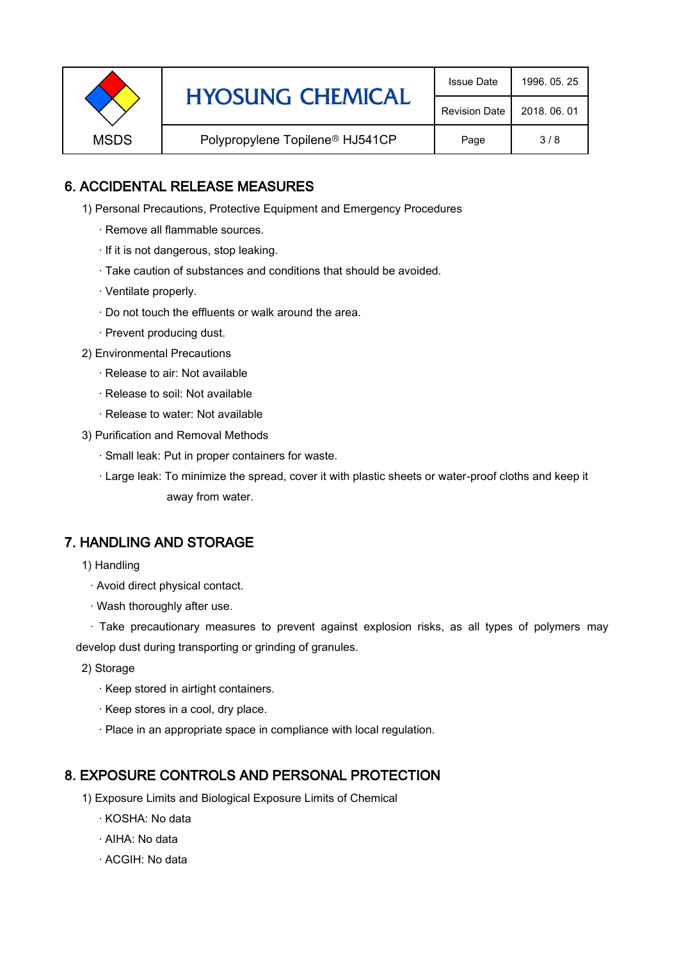|             | <b>HYOSUNG CHEMICAL</b>                     | <b>Issue Date</b>    | 1996, 05, 25 |
|-------------|---------------------------------------------|----------------------|--------------|
|             |                                             | <b>Revision Date</b> | 2018, 06, 01 |
| <b>MSDS</b> | Polypropylene Topilene <sup>®</sup> HJ541CP | Page                 | 3/8          |

## 6. ACCIDENTAL RELEASE MEASURES

- 1) Personal Precautions, Protective Equipment and Emergency Procedures
	- · Remove all flammable sources.
	- · If it is not dangerous, stop leaking.
	- · Take caution of substances and conditions that should be avoided.
	- · Ventilate properly.
	- · Do not touch the effluents or walk around the area.
	- · Prevent producing dust.
- 2) Environmental Precautions
	- · Release to air: Not available
	- · Release to soil: Not available
	- · Release to water: Not available
- 3) Purification and Removal Methods
	- · Small leak: Put in proper containers for waste.
	- ,· Large leak: To minimize the spread, cover it with plastic sheets or water-proof cloths and keep it away from water.

#### 7. HANDLING AND STORAGE

- 1) Handling
	- · Avoid direct physical contact.
	- · Wash thoroughly after use.

· Take precautionary measures to prevent against explosion risks, as all types of polymers may develop dust during transporting or grinding of granules.

- 2) Storage
	- · Keep stored in airtight containers.
	- · Keep stores in a cool, dry place.
	- · Place in an appropriate space in compliance with local regulation.

#### 8. EXPOSURE CONTROLS AND PERSONAL PROTECTION

- 1) Exposure Limits and Biological Exposure Limits of Chemical
	- · KOSHA: No data
	- · AIHA: No data
	- · ACGIH: No data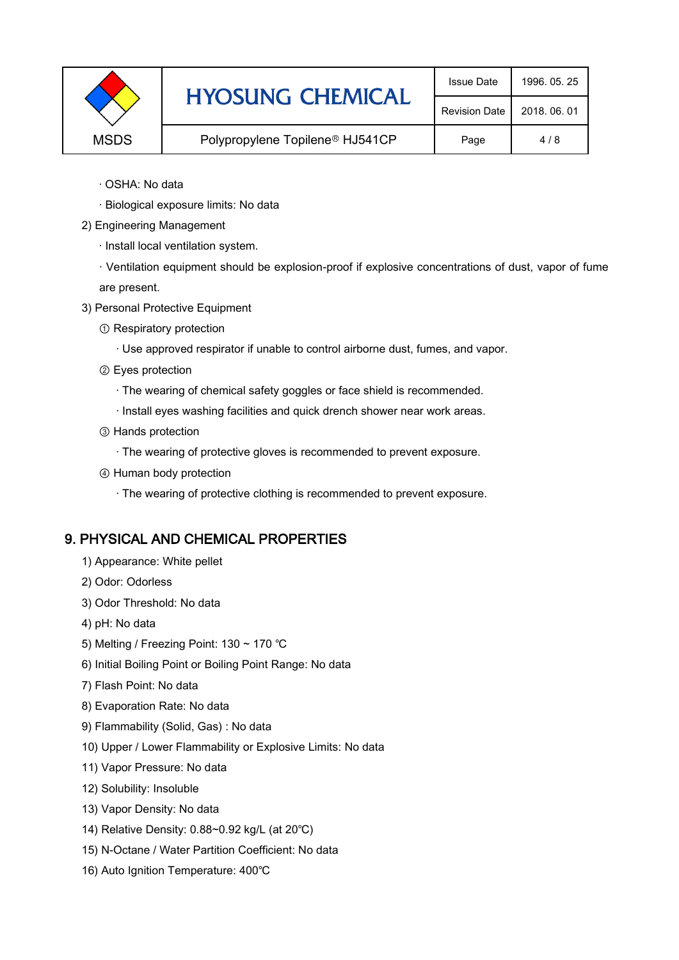|             | <b>HYOSUNG CHEMICAL</b>                     | <b>Issue Date</b>    | 1996, 05, 25 |
|-------------|---------------------------------------------|----------------------|--------------|
|             |                                             | <b>Revision Date</b> | 2018, 06, 01 |
| <b>MSDS</b> | Polypropylene Topilene <sup>®</sup> HJ541CP | Page                 | 4/8          |

- · OSHA: No data
- · Biological exposure limits: No data
- 2) Engineering Management
	- · Install local ventilation system.

· Ventilation equipment should be explosion-proof if explosive concentrations of dust, vapor of fume are present.

- 3) Personal Protective Equipment
	- ① Respiratory protection
		- · Use approved respirator if unable to control airborne dust, fumes, and vapor.
	- ② Eyes protection
		- · The wearing of chemical safety goggles or face shield is recommended.
		- · Install eyes washing facilities and quick drench shower near work areas.
	- ③ Hands protection
		- · The wearing of protective gloves is recommended to prevent exposure.
	- ④ Human body protection
		- · The wearing of protective clothing is recommended to prevent exposure.

## 9. PHYSICAL AND CHEMICAL PROPERTIES

- 1) Appearance: White pellet
- 2) Odor: Odorless
- 3) Odor Threshold: No data
- 4) pH: No data
- 5) Melting / Freezing Point: 130 ~ 170 ℃
- 6) Initial Boiling Point or Boiling Point Range: No data
- 7) Flash Point: No data
- 8) Evaporation Rate: No data
- 9) Flammability (Solid, Gas) : No data
- 10) Upper / Lower Flammability or Explosive Limits: No data
- 11) Vapor Pressure: No data
- 12) Solubility: Insoluble
- 13) Vapor Density: No data
- 14) Relative Density: 0.88~0.92 kg/L (at 20℃)
- 15) N-Octane / Water Partition Coefficient: No data
- 16) Auto Ignition Temperature: 400℃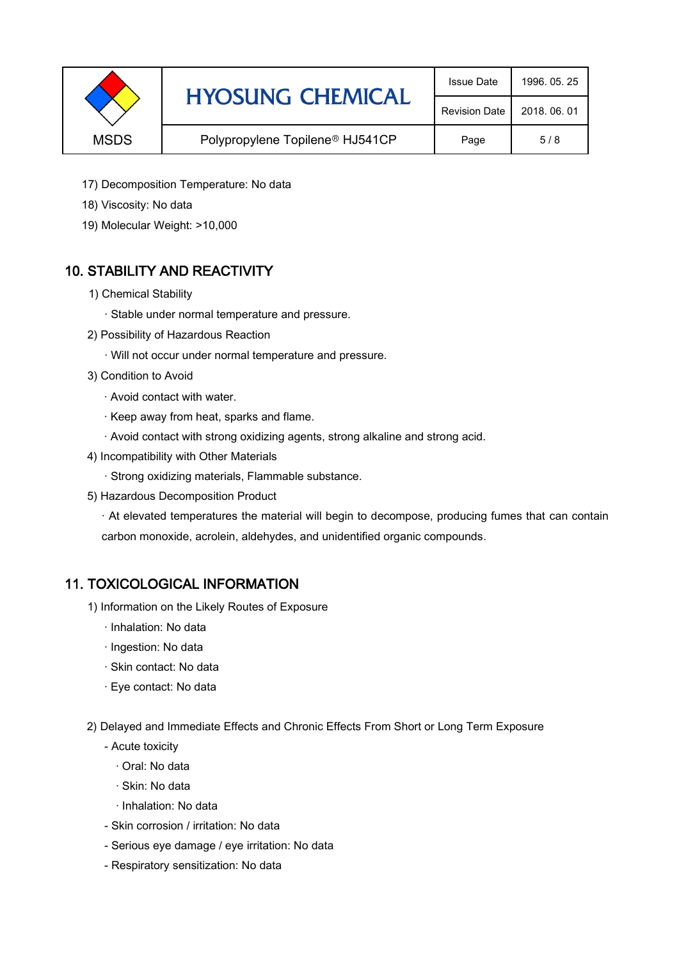|             | <b>HYOSUNG CHEMICAL</b>                     | <b>Issue Date</b>    | 1996, 05, 25 |
|-------------|---------------------------------------------|----------------------|--------------|
|             |                                             | <b>Revision Date</b> | 2018, 06, 01 |
| <b>MSDS</b> | Polypropylene Topilene <sup>®</sup> HJ541CP | Page                 | 5/8          |

- 17) Decomposition Temperature: No data
- 18) Viscosity: No data
- 19) Molecular Weight: >10,000

# 10. STABILITY AND REACTIVITY

- 1) Chemical Stability
	- · Stable under normal temperature and pressure.
- 2) Possibility of Hazardous Reaction
	- · Will not occur under normal temperature and pressure.
- 3) Condition to Avoid
	- · Avoid contact with water.
	- · Keep away from heat, sparks and flame.
	- · Avoid contact with strong oxidizing agents, strong alkaline and strong acid.
- 4) Incompatibility with Other Materials
	- · Strong oxidizing materials, Flammable substance.
- 5) Hazardous Decomposition Product

· At elevated temperatures the material will begin to decompose, producing fumes that can contain carbon monoxide, acrolein, aldehydes, and unidentified organic compounds.

#### 11. TOXICOLOGICAL INFORMATION

- 1) Information on the Likely Routes of Exposure
	- · Inhalation: No data
	- · Ingestion: No data
	- · Skin contact: No data
	- · Eye contact: No data
- 2) Delayed and Immediate Effects and Chronic Effects From Short or Long Term Exposure
	- Acute toxicity
		- · Oral: No data
		- · Skin: No data
		- · Inhalation: No data
	- Skin corrosion / irritation: No data
	- Serious eye damage / eye irritation: No data
	- Respiratory sensitization: No data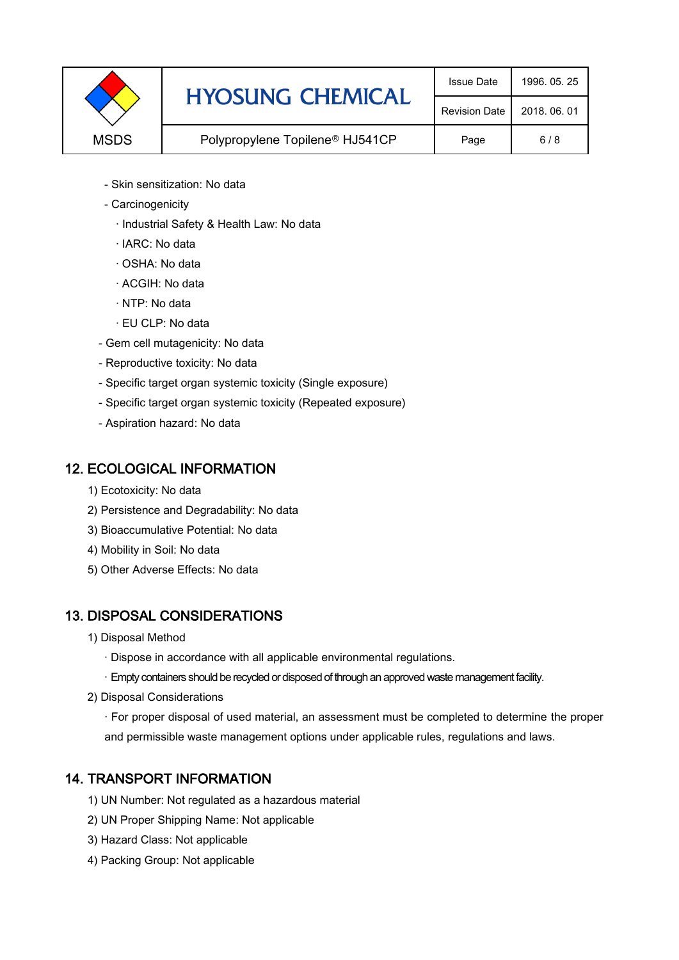|             | <b>HYOSUNG CHEMICAL</b>                     | <b>Issue Date</b>    | 1996, 05, 25 |
|-------------|---------------------------------------------|----------------------|--------------|
|             |                                             | <b>Revision Date</b> | 2018, 06, 01 |
| <b>MSDS</b> | Polypropylene Topilene <sup>®</sup> HJ541CP | Page                 | 6/8          |

- Skin sensitization: No data
- Carcinogenicity
	- · Industrial Safety & Health Law: No data
	- · IARC: No data
	- · OSHA: No data
	- · ACGIH: No data
	- · NTP: No data
	- · EU CLP: No data
- Gem cell mutagenicity: No data
- Reproductive toxicity: No data
- Specific target organ systemic toxicity (Single exposure)
- Specific target organ systemic toxicity (Repeated exposure)
- Aspiration hazard: No data

#### 12. ECOLOGICAL INFORMATION

- 1) Ecotoxicity: No data
- 2) Persistence and Degradability: No data
- 3) Bioaccumulative Potential: No data
- 4) Mobility in Soil: No data
- 5) Other Adverse Effects: No data

## 13. DISPOSAL CONSIDERATIONS

- 1) Disposal Method
	- · Dispose in accordance with all applicable environmental regulations.
	- · Empty containers should be recycled or disposed of through an approved waste management facility.
- 2) Disposal Considerations
	- · For proper disposal of used material, an assessment must be completed to determine the proper and permissible waste management options under applicable rules, regulations and laws.

## 14. TRANSPORT INFORMATION

- 1) UN Number: Not regulated as a hazardous material
- 2) UN Proper Shipping Name: Not applicable
- 3) Hazard Class: Not applicable
- 4) Packing Group: Not applicable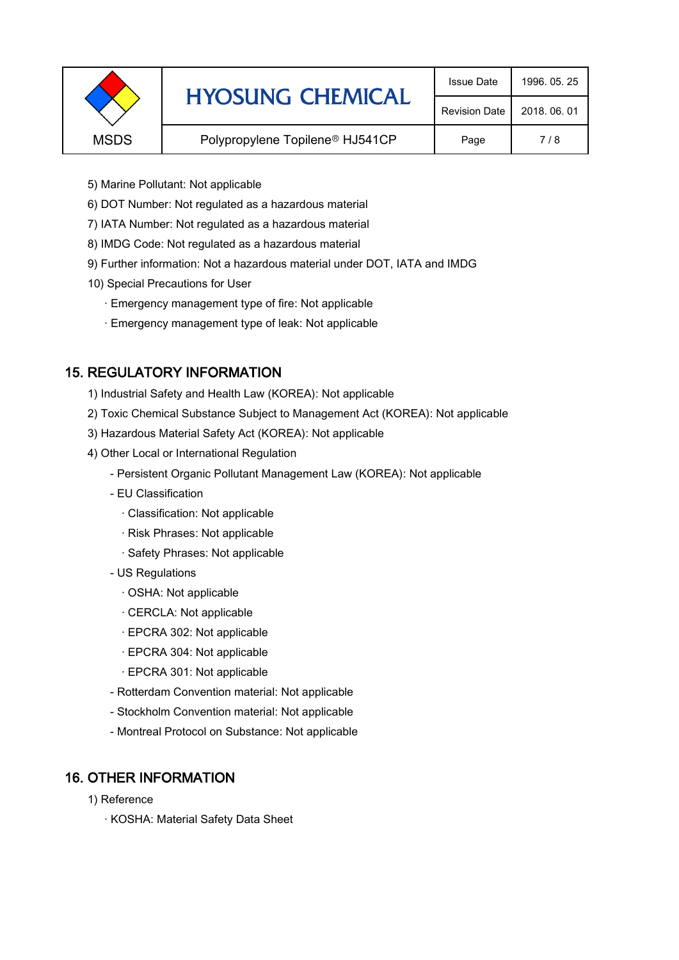|             | <b>HYOSUNG CHEMICAL</b>                     | <b>Issue Date</b>    | 1996, 05, 25 |
|-------------|---------------------------------------------|----------------------|--------------|
|             |                                             | <b>Revision Date</b> | 2018, 06, 01 |
| <b>MSDS</b> | Polypropylene Topilene <sup>®</sup> HJ541CP | Page                 | 7/8          |
|             |                                             |                      |              |

- 5) Marine Pollutant: Not applicable
- 6) DOT Number: Not regulated as a hazardous material
- 7) IATA Number: Not regulated as a hazardous material
- 8) IMDG Code: Not regulated as a hazardous material
- 9) Further information: Not a hazardous material under DOT, IATA and IMDG
- 10) Special Precautions for User
	- · Emergency management type of fire: Not applicable
	- · Emergency management type of leak: Not applicable

## 15. REGULATORY INFORMATION

- 1) Industrial Safety and Health Law (KOREA): Not applicable
- 2) Toxic Chemical Substance Subject to Management Act (KOREA): Not applicable
- 3) Hazardous Material Safety Act (KOREA): Not applicable
- 4) Other Local or International Regulation
	- Persistent Organic Pollutant Management Law (KOREA): Not applicable
	- EU Classification
		- · Classification: Not applicable
		- · Risk Phrases: Not applicable
		- · Safety Phrases: Not applicable
	- US Regulations
		- · OSHA: Not applicable
		- · CERCLA: Not applicable
		- · EPCRA 302: Not applicable
		- · EPCRA 304: Not applicable
		- · EPCRA 301: Not applicable
	- Rotterdam Convention material: Not applicable
	- Stockholm Convention material: Not applicable
	- Montreal Protocol on Substance: Not applicable

## 16. OTHER INFORMATION

- 1) Reference
	- · KOSHA: Material Safety Data Sheet